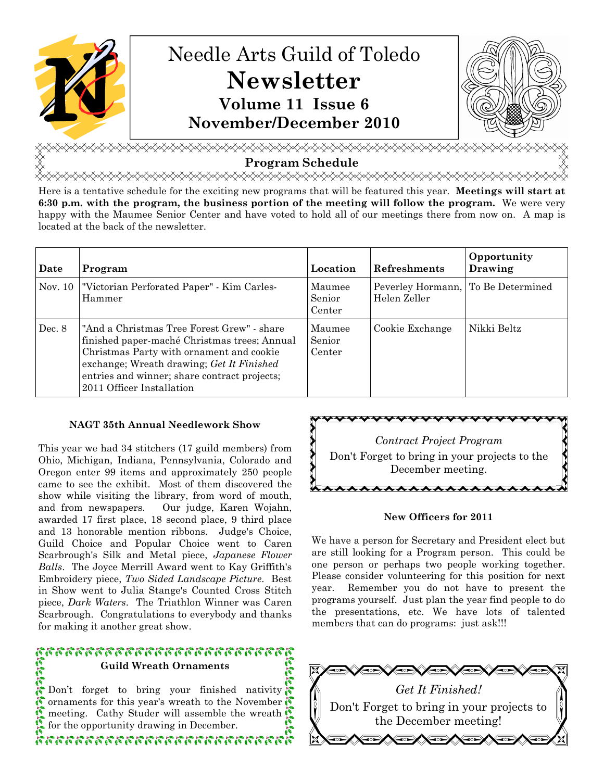

<sub></sub> Program Schedule

<del></del>

Here is a tentative schedule for the exciting new programs that will be featured this year. Meetings will start at 6:30 p.m. with the program, the business portion of the meeting will follow the program. We were very happy with the Maumee Senior Center and have voted to hold all of our meetings there from now on. A map is located at the back of the newsletter.

| Date    | Program                                                                                                                                                                                                                                                          | Location                   | Refreshments                                       | Opportunity<br>Drawing |
|---------|------------------------------------------------------------------------------------------------------------------------------------------------------------------------------------------------------------------------------------------------------------------|----------------------------|----------------------------------------------------|------------------------|
| Nov. 10 | "Victorian Perforated Paper" - Kim Carles-<br>Hammer                                                                                                                                                                                                             | Maumee<br>Senior<br>Center | Peverley Hormann, To Be Determined<br>Helen Zeller |                        |
| Dec. 8  | "And a Christmas Tree Forest Grew" - share<br>finished paper-maché Christmas trees; Annual<br>Christmas Party with ornament and cookie<br>exchange; Wreath drawing; Get It Finished<br>entries and winner; share contract projects;<br>2011 Officer Installation | Maumee<br>Senior<br>Center | Cookie Exchange                                    | Nikki Beltz            |

#### NAGT 35th Annual Needlework Show

This year we had 34 stitchers (17 guild members) from Ohio, Michigan, Indiana, Pennsylvania, Colorado and Oregon enter 99 items and approximately 250 people came to see the exhibit. Most of them discovered the show while visiting the library, from word of mouth, and from newspapers. Our judge, Karen Wojahn, awarded 17 first place, 18 second place, 9 third place and 13 honorable mention ribbons. Judge's Choice, Guild Choice and Popular Choice went to Caren Scarbrough's Silk and Metal piece, Japanese Flower Balls. The Joyce Merrill Award went to Kay Griffith's Embroidery piece, Two Sided Landscape Picture. Best in Show went to Julia Stange's Counted Cross Stitch piece, Dark Waters. The Triathlon Winner was Caren Scarbrough. Congratulations to everybody and thanks for making it another great show.

## หารกรรมการการการการการการ Guild Wreath Ornaments **Citie**

Don't forget to bring your finished nativity ornaments for this year's wreath to the November meeting. Cathy Studer will assemble the wreath for the opportunity drawing in December.

ห้ออกการการการการการการการการ



#### New Officers for 2011

We have a person for Secretary and President elect but are still looking for a Program person. This could be one person or perhaps two people working together. Please consider volunteering for this position for next year. Remember you do not have to present the programs yourself. Just plan the year find people to do the presentations, etc. We have lots of talented members that can do programs: just ask!!!

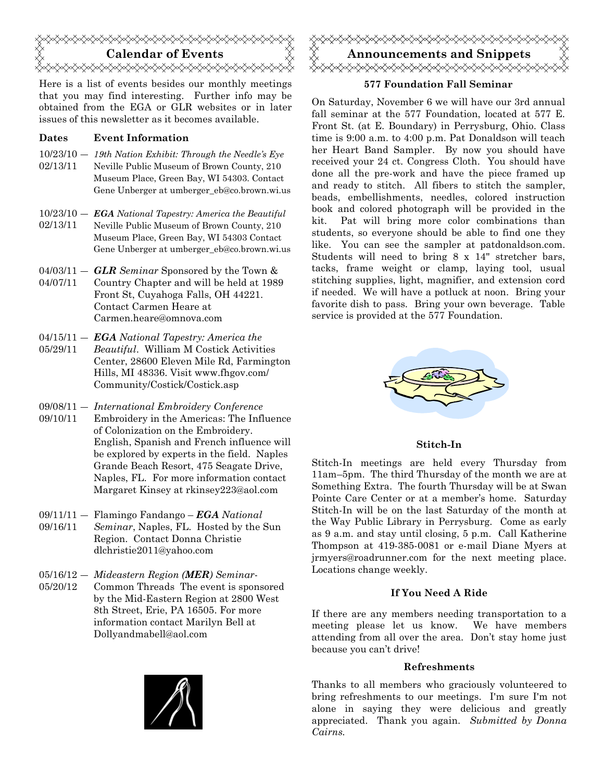

Here is a list of events besides our monthly meetings that you may find interesting. Further info may be obtained from the EGA or GLR websites or in later issues of this newsletter as it becomes available.

#### Dates Event Information

- 10/23/10 ― 19th Nation Exhibit: Through the Needle's Eye 02/13/11 Neville Public Museum of Brown County, 210 Museum Place, Green Bay, WI 54303. Contact Gene Unberger at umberger eb@co.brown.wi.us
- $10/23/10 \textit{EGA National Tangstry: America the Beautiful}$ 02/13/11 Neville Public Museum of Brown County, 210 Museum Place, Green Bay, WI 54303 Contact Gene Unberger at umberger\_eb@co.brown.wi.us
- $04/03/11 GLR$  Seminar Sponsored by the Town & 04/07/11 Country Chapter and will be held at 1989 Front St, Cuyahoga Falls, OH 44221. Contact Carmen Heare at Carmen.heare@omnova.com
- $04/15/11 EGA National Tangstry: America the$ 05/29/11 Beautiful. William M Costick Activities Center, 28600 Eleven Mile Rd, Farmington Hills, MI 48336. Visit www.fhgov.com/ Community/Costick/Costick.asp
- 09/08/11 ― International Embroidery Conference
- 09/10/11 Embroidery in the Americas: The Influence of Colonization on the Embroidery. English, Spanish and French influence will be explored by experts in the field. Naples Grande Beach Resort, 475 Seagate Drive, Naples, FL. For more information contact Margaret Kinsey at rkinsey223@aol.com
- $09/11/11 -$  Flamingo Fandango EGA National 09/16/11 Seminar, Naples, FL. Hosted by the Sun Region. Contact Donna Christie dlchristie2011@yahoo.com
- 05/16/12 Mideastern Region (MER) Seminar-05/20/12 Common Threads The event is sponsored by the Mid-Eastern Region at 2800 West 8th Street, Erie, PA 16505. For more information contact Marilyn Bell at Dollyandmabell@aol.com





#### 577 Foundation Fall Seminar

On Saturday, November 6 we will have our 3rd annual fall seminar at the 577 Foundation, located at 577 E. Front St. (at E. Boundary) in Perrysburg, Ohio. Class time is 9:00 a.m. to 4:00 p.m. Pat Donaldson will teach her Heart Band Sampler. By now you should have received your 24 ct. Congress Cloth. You should have done all the pre-work and have the piece framed up and ready to stitch. All fibers to stitch the sampler, beads, embellishments, needles, colored instruction book and colored photograph will be provided in the kit. Pat will bring more color combinations than students, so everyone should be able to find one they like. You can see the sampler at patdonaldson.com. Students will need to bring 8 x 14" stretcher bars, tacks, frame weight or clamp, laying tool, usual stitching supplies, light, magnifier, and extension cord if needed. We will have a potluck at noon. Bring your favorite dish to pass. Bring your own beverage. Table service is provided at the 577 Foundation.



#### Stitch-In

Stitch-In meetings are held every Thursday from 11am–5pm. The third Thursday of the month we are at Something Extra. The fourth Thursday will be at Swan Pointe Care Center or at a member's home. Saturday Stitch-In will be on the last Saturday of the month at the Way Public Library in Perrysburg. Come as early as 9 a.m. and stay until closing, 5 p.m. Call Katherine Thompson at 419-385-0081 or e-mail Diane Myers at jrmyers@roadrunner.com for the next meeting place. Locations change weekly.

#### If You Need A Ride

If there are any members needing transportation to a meeting please let us know. We have members attending from all over the area. Don't stay home just because you can't drive!

#### Refreshments

Thanks to all members who graciously volunteered to bring refreshments to our meetings. I'm sure I'm not alone in saying they were delicious and greatly appreciated. Thank you again. Submitted by Donna Cairns.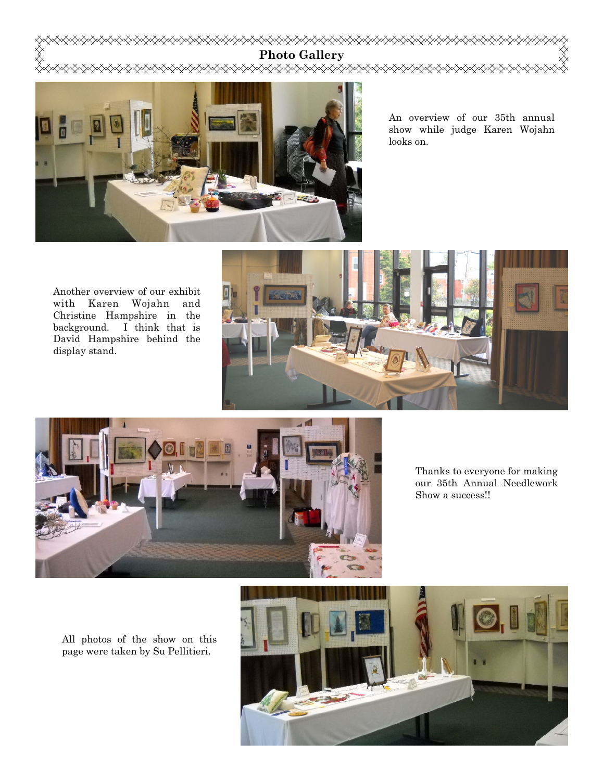

An overview of our 35th annual show while judge Karen Wojahn

Another overview of our exhibit with Karen Wojahn and Christine Hampshire in the background. I think that is David Hampshire behind the display stand.





Thanks to everyone for making our 35th Annual Needlework Show a success!!

All photos of the show on this page were taken by Su Pellitieri.

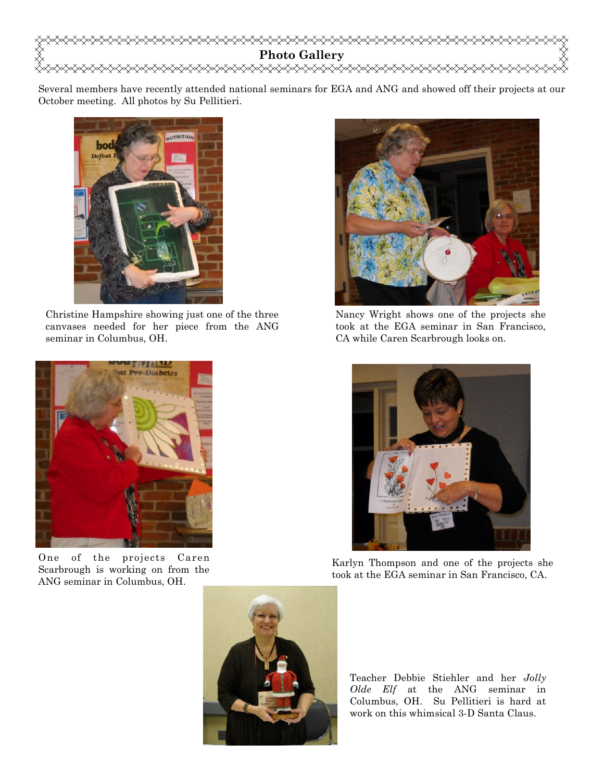

Several members have recently attended national seminars for EGA and ANG and showed off their projects at our October meeting. All photos by Su Pellitieri.



Christine Hampshire showing just one of the three canvases needed for her piece from the ANG seminar in Columbus, OH.



Nancy Wright shows one of the projects she took at the EGA seminar in San Francisco, CA while Caren Scarbrough looks on.



Karlyn Thompson and one of the projects she took at the EGA seminar in San Francisco, CA.



One of the projects Caren Scarbrough is working on from the ANG seminar in Columbus, OH.



Teacher Debbie Stiehler and her Jolly Olde Elf at the ANG seminar in Columbus, OH. Su Pellitieri is hard at work on this whimsical 3-D Santa Claus.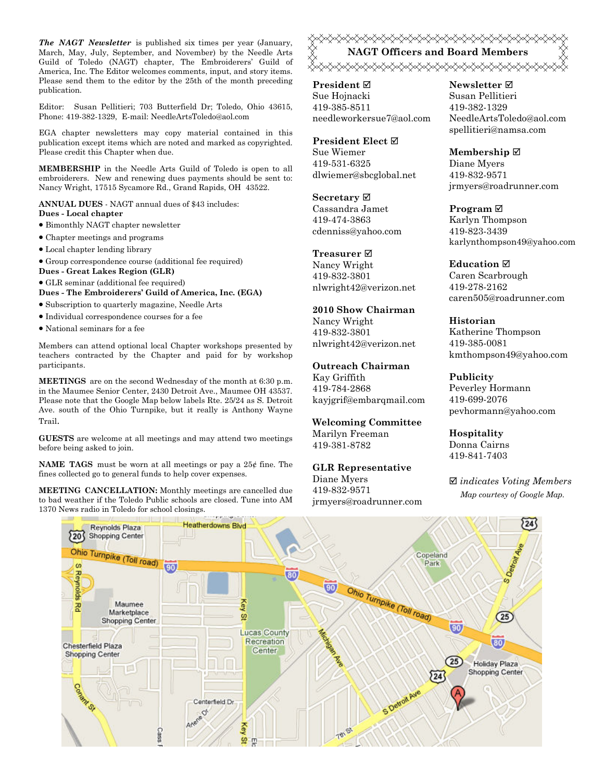The NAGT Newsletter is published six times per year (January, March, May, July, September, and November) by the Needle Arts Guild of Toledo (NAGT) chapter, The Embroiderers' Guild of America, Inc. The Editor welcomes comments, input, and story items. Please send them to the editor by the 25th of the month preceding publication.

Editor: Susan Pellitieri; 703 Butterfield Dr; Toledo, Ohio 43615, Phone: 419-382-1329, E-mail: NeedleArtsToledo@aol.com

EGA chapter newsletters may copy material contained in this publication except items which are noted and marked as copyrighted. Please credit this Chapter when due.

MEMBERSHIP in the Needle Arts Guild of Toledo is open to all embroiderers. New and renewing dues payments should be sent to: Nancy Wright, 17515 Sycamore Rd., Grand Rapids, OH 43522.

ANNUAL DUES - NAGT annual dues of \$43 includes: Dues - Local chapter

- Bimonthly NAGT chapter newsletter
- Chapter meetings and programs
- Local chapter lending library
- Group correspondence course (additional fee required)
- Dues Great Lakes Region (GLR)
- GLR seminar (additional fee required)

Dues - The Embroiderers' Guild of America, Inc. (EGA)

- Subscription to quarterly magazine, Needle Arts
- Individual correspondence courses for a fee
- National seminars for a fee

Members can attend optional local Chapter workshops presented by teachers contracted by the Chapter and paid for by workshop participants.

MEETINGS are on the second Wednesday of the month at 6:30 p.m. in the Maumee Senior Center, 2430 Detroit Ave., Maumee OH 43537. Please note that the Google Map below labels Rte. 25/24 as S. Detroit Ave. south of the Ohio Turnpike, but it really is Anthony Wayne Trail.

GUESTS are welcome at all meetings and may attend two meetings before being asked to join.

**NAME TAGS** must be worn at all meetings or pay a  $25¢$  fine. The fines collected go to general funds to help cover expenses.

MEETING CANCELLATION: Monthly meetings are cancelled due to bad weather if the Toledo Public schools are closed. Tune into AM 1370 News radio in Toledo for school closings.

<del></del> NAGT Officers and Board Members <sub></sub><sub></sub>

President ⊠ Sue Hojnacki 419-385-8511 needleworkersue7@aol.com

President Elect Ø Sue Wiemer 419-531-6325 dlwiemer@sbcglobal.net

Secretary  $\boxtimes$ Cassandra Jamet 419-474-3863 cdenniss@yahoo.com

Treasurer<sub> $⊓$ </sub> Nancy Wright 419-832-3801 nlwright42@verizon.net

2010 Show Chairman Nancy Wright 419-832-3801 nlwright42@verizon.net

#### Outreach Chairman

Kay Griffith 419-784-2868 kayjgrif@embarqmail.com

Welcoming Committee Marilyn Freeman 419-381-8782

GLR Representative Diane Myers 419-832-9571 jrmyers@roadrunner.com Newsletter **Ø** Susan Pellitieri 419-382-1329 NeedleArtsToledo@aol.com spellitieri@namsa.com

Membership ⊠ Diane Myers 419-832-9571 jrmyers@roadrunner.com

Program ⊠ Karlyn Thompson 419-823-3439 karlynthompson49@yahoo.com

**Education** ⊠ Caren Scarbrough 419-278-2162 caren505@roadrunner.com

Historian Katherine Thompson 419-385-0081 kmthompson49@yahoo.com

Publicity

Peverley Hormann 419-699-2076 pevhormann@yahoo.com

Hospitality Donna Cairns 419-841-7403

 $\boxtimes$  indicates Voting Members Map courtesy of Google Map.